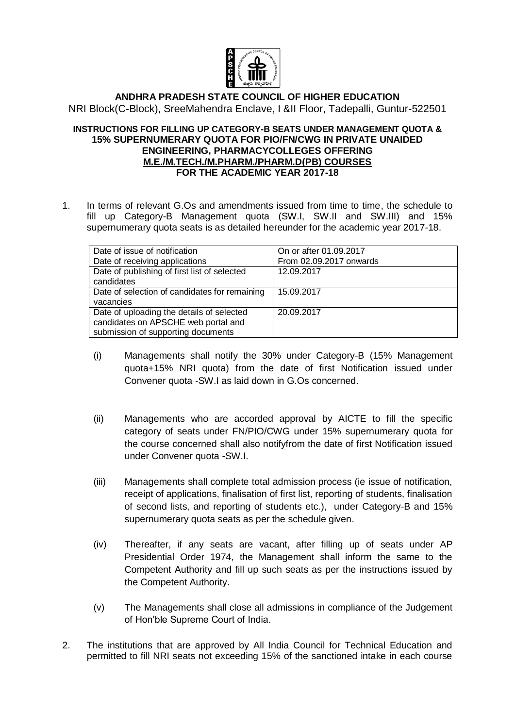

## **ANDHRA PRADESH STATE COUNCIL OF HIGHER EDUCATION** NRI Block(C-Block), SreeMahendra Enclave, I &II Floor, Tadepalli, Guntur-522501

## **INSTRUCTIONS FOR FILLING UP CATEGORY-B SEATS UNDER MANAGEMENT QUOTA & 15% SUPERNUMERARY QUOTA FOR PIO/FN/CWG IN PRIVATE UNAIDED ENGINEERING, PHARMACYCOLLEGES OFFERING M.E./M.TECH./M.PHARM./PHARM.D(PB) COURSES FOR THE ACADEMIC YEAR 2017-18**

1. In terms of relevant G.Os and amendments issued from time to time, the schedule to fill up Category-B Management quota (SW.I, SW.II and SW.III) and 15% supernumerary quota seats is as detailed hereunder for the academic year 2017-18.

| Date of issue of notification                 | On or after 01.09.2017  |
|-----------------------------------------------|-------------------------|
| Date of receiving applications                | From 02.09.2017 onwards |
| Date of publishing of first list of selected  | 12.09.2017              |
| candidates                                    |                         |
| Date of selection of candidates for remaining | 15.09.2017              |
| vacancies                                     |                         |
| Date of uploading the details of selected     | 20.09.2017              |
| candidates on APSCHE web portal and           |                         |
| submission of supporting documents            |                         |

- (i) Managements shall notify the 30% under Category-B (15% Management quota+15% NRI quota) from the date of first Notification issued under Convener quota -SW.I as laid down in G.Os concerned.
- (ii) Managements who are accorded approval by AICTE to fill the specific category of seats under FN/PIO/CWG under 15% supernumerary quota for the course concerned shall also notifyfrom the date of first Notification issued under Convener quota -SW.I.
- (iii) Managements shall complete total admission process (ie issue of notification, receipt of applications, finalisation of first list, reporting of students, finalisation of second lists, and reporting of students etc.), under Category-B and 15% supernumerary quota seats as per the schedule given.
- (iv) Thereafter, if any seats are vacant, after filling up of seats under AP Presidential Order 1974, the Management shall inform the same to the Competent Authority and fill up such seats as per the instructions issued by the Competent Authority.
- (v) The Managements shall close all admissions in compliance of the Judgement of Hon'ble Supreme Court of India.
- 2. The institutions that are approved by All India Council for Technical Education and permitted to fill NRI seats not exceeding 15% of the sanctioned intake in each course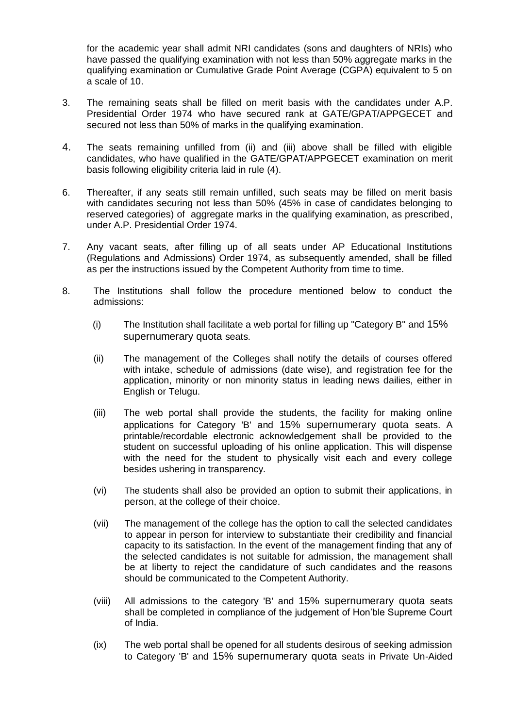for the academic year shall admit NRI candidates (sons and daughters of NRIs) who have passed the qualifying examination with not less than 50% aggregate marks in the qualifying examination or Cumulative Grade Point Average (CGPA) equivalent to 5 on a scale of 10.

- 3. The remaining seats shall be filled on merit basis with the candidates under A.P. Presidential Order 1974 who have secured rank at GATE/GPAT/APPGECET and secured not less than 50% of marks in the qualifying examination.
- 4. The seats remaining unfilled from (ii) and (iii) above shall be filled with eligible candidates, who have qualified in the GATE/GPAT/APPGECET examination on merit basis following eligibility criteria laid in rule (4).
- 6. Thereafter, if any seats still remain unfilled, such seats may be filled on merit basis with candidates securing not less than 50% (45% in case of candidates belonging to reserved categories) of aggregate marks in the qualifying examination, as prescribed, under A.P. Presidential Order 1974.
- 7. Any vacant seats, after filling up of all seats under AP Educational Institutions (Regulations and Admissions) Order 1974, as subsequently amended, shall be filled as per the instructions issued by the Competent Authority from time to time.
- 8. The Institutions shall follow the procedure mentioned below to conduct the admissions:
	- (i) The Institution shall facilitate a web portal for filling up "Category B" and 15% supernumerary quota seats.
	- (ii) The management of the Colleges shall notify the details of courses offered with intake, schedule of admissions (date wise), and registration fee for the application, minority or non minority status in leading news dailies, either in English or Telugu.
	- (iii) The web portal shall provide the students, the facility for making online applications for Category 'B' and 15% supernumerary quota seats. A printable/recordable electronic acknowledgement shall be provided to the student on successful uploading of his online application. This will dispense with the need for the student to physically visit each and every college besides ushering in transparency.
	- (vi) The students shall also be provided an option to submit their applications, in person, at the college of their choice.
	- (vii) The management of the college has the option to call the selected candidates to appear in person for interview to substantiate their credibility and financial capacity to its satisfaction. In the event of the management finding that any of the selected candidates is not suitable for admission, the management shall be at liberty to reject the candidature of such candidates and the reasons should be communicated to the Competent Authority.
	- (viii) All admissions to the category 'B' and 15% supernumerary quota seats shall be completed in compliance of the judgement of Hon'ble Supreme Court of India.
	- (ix) The web portal shall be opened for all students desirous of seeking admission to Category 'B' and 15% supernumerary quota seats in Private Un-Aided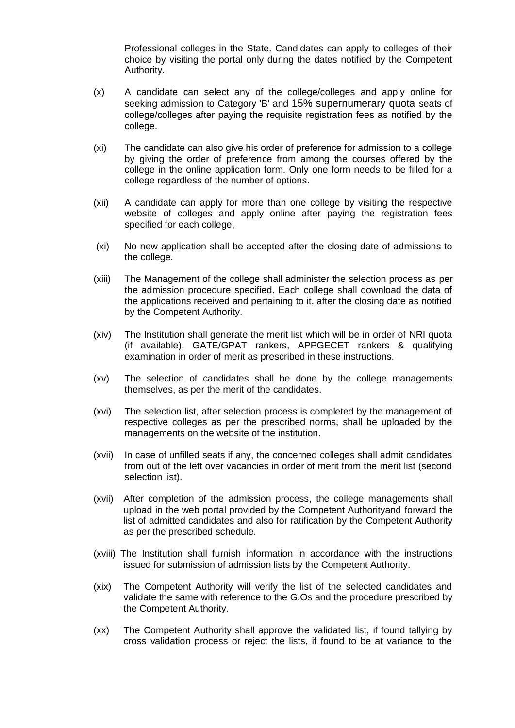Professional colleges in the State. Candidates can apply to colleges of their choice by visiting the portal only during the dates notified by the Competent Authority.

- (x) A candidate can select any of the college/colleges and apply online for seeking admission to Category 'B' and 15% supernumerary quota seats of college/colleges after paying the requisite registration fees as notified by the college.
- (xi) The candidate can also give his order of preference for admission to a college by giving the order of preference from among the courses offered by the college in the online application form. Only one form needs to be filled for a college regardless of the number of options.
- (xii) A candidate can apply for more than one college by visiting the respective website of colleges and apply online after paying the registration fees specified for each college,
- (xi) No new application shall be accepted after the closing date of admissions to the college.
- (xiii) The Management of the college shall administer the selection process as per the admission procedure specified. Each college shall download the data of the applications received and pertaining to it, after the closing date as notified by the Competent Authority.
- (xiv) The Institution shall generate the merit list which will be in order of NRI quota (if available), GATE/GPAT rankers, APPGECET rankers & qualifying examination in order of merit as prescribed in these instructions.
- (xv) The selection of candidates shall be done by the college managements themselves, as per the merit of the candidates.
- (xvi) The selection list, after selection process is completed by the management of respective colleges as per the prescribed norms, shall be uploaded by the managements on the website of the institution.
- (xvii) In case of unfilled seats if any, the concerned colleges shall admit candidates from out of the left over vacancies in order of merit from the merit list (second selection list).
- (xvii) After completion of the admission process, the college managements shall upload in the web portal provided by the Competent Authorityand forward the list of admitted candidates and also for ratification by the Competent Authority as per the prescribed schedule.
- (xviii) The Institution shall furnish information in accordance with the instructions issued for submission of admission lists by the Competent Authority.
- (xix) The Competent Authority will verify the list of the selected candidates and validate the same with reference to the G.Os and the procedure prescribed by the Competent Authority.
- (xx) The Competent Authority shall approve the validated list, if found tallying by cross validation process or reject the lists, if found to be at variance to the